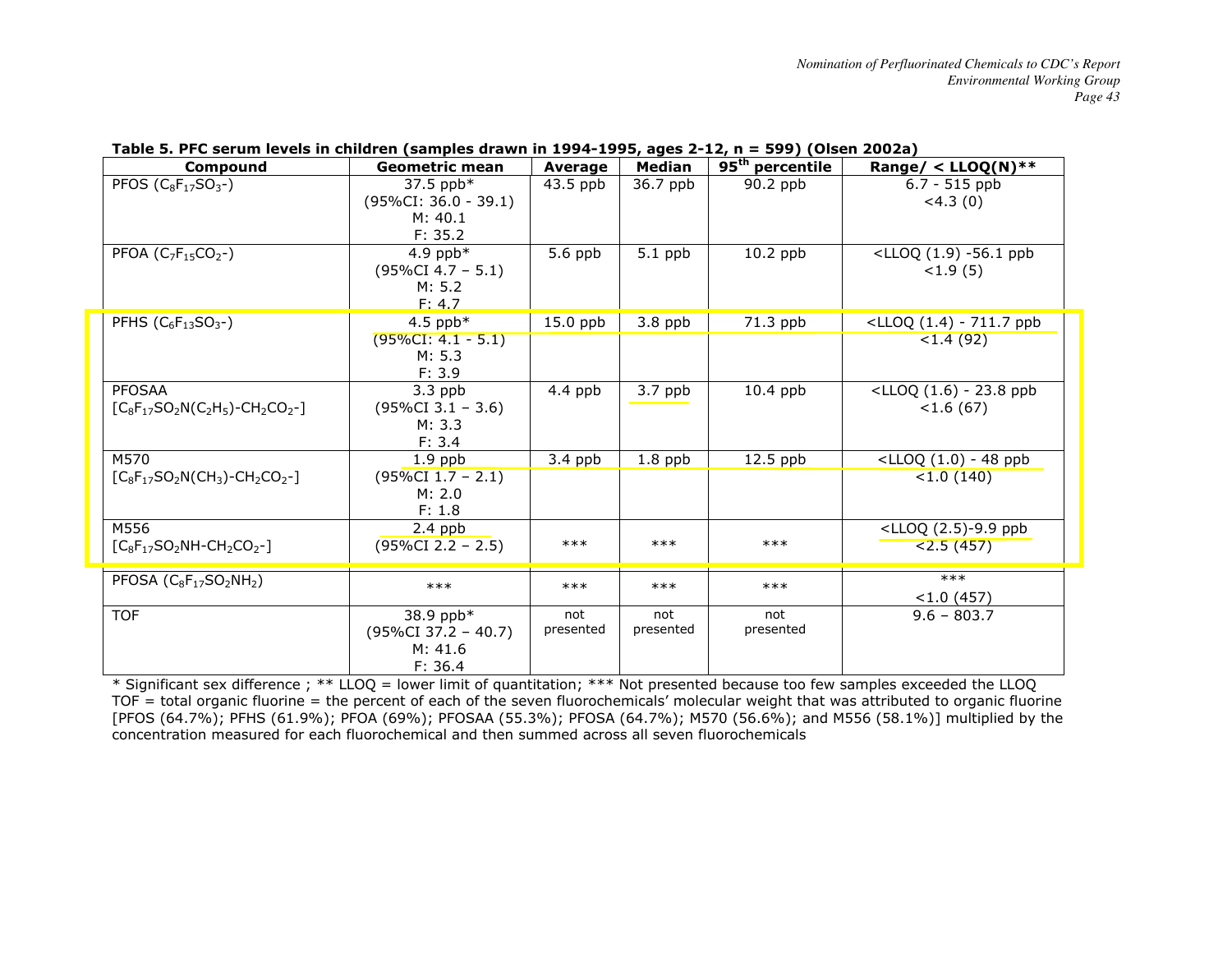| Compound                             | Geometric mean                 | Average   | <b>Median</b> | 95 <sup>th</sup> percentile | Range/ < $LLOQ(N)$ **                              |
|--------------------------------------|--------------------------------|-----------|---------------|-----------------------------|----------------------------------------------------|
| PFOS $(C_8F_{17}SO_3-)$              | 37.5 ppb*                      | 43.5 ppb  | 36.7 ppb      | 90.2 ppb                    | $6.7 - 515$ ppb                                    |
|                                      | $(95\%CI: 36.0 - 39.1)$        |           |               |                             | $<$ 4.3 $(0)$                                      |
|                                      | M: 40.1                        |           |               |                             |                                                    |
|                                      | F: 35.2                        |           |               |                             |                                                    |
| PFOA ( $C_7F_{15}CO_2$ -)            | 4.9 ppb $*$                    | 5.6 ppb   | $5.1$ ppb     | $10.2$ ppb                  | <lloq (1.9)="" -56.1="" ppb<="" td=""></lloq>      |
|                                      | $(95\%CI 4.7 - 5.1)$<br>M: 5.2 |           |               |                             | <1.9(5)                                            |
|                                      | F: 4.7                         |           |               |                             |                                                    |
| PFHS $(C_6F_{13}SO_3-)$              | 4.5 ppb $*$                    | 15.0 ppb  | $3.8$ ppb     | 71.3 ppb                    | <lloq (1.4)="" -="" 711.7="" ppb<="" td=""></lloq> |
|                                      | $(95\%CI: 4.1 - 5.1)$          |           |               |                             | $<$ 1.4 (92)                                       |
|                                      | M: 5.3                         |           |               |                             |                                                    |
|                                      | F: 3.9                         |           |               |                             |                                                    |
| <b>PFOSAA</b>                        | $3.3$ ppb                      | 4.4 ppb   | $3.7$ ppb     | $10.4$ ppb                  | $\langle LLOQ (1.6) - 23.8$ ppb                    |
| $[C_8F_{17}SO_2N(C_2H_5)-CH_2CO_2-]$ | $(95\%CI 3.1 - 3.6)$           |           |               |                             | <1.6(67)                                           |
|                                      | M: 3.3                         |           |               |                             |                                                    |
|                                      | F: 3.4                         |           |               |                             |                                                    |
| M570                                 | $1.9$ ppb                      | $3.4$ ppb | $1.8$ ppb     | $12.5$ ppb                  | $<$ LLOQ $(1.0)$ - 48 ppb                          |
| $[C_8F_{17}SO_2N(CH_3)-CH_2CO_2-]$   | $(95\%CI 1.7 - 2.1)$           |           |               |                             | < 1.0(140)                                         |
|                                      | M: 2.0                         |           |               |                             |                                                    |
|                                      | F: 1.8                         |           |               |                             |                                                    |
| M556                                 | $2.4$ ppb                      | $***$     | $***$         | $***$                       | <lloq (2.5)-9.9="" ppb<="" td=""></lloq>           |
| $[C_8F_{17}SO_2NH-CH_2CO_2-]$        | $(95\%CI$ 2.2 - 2.5)           |           |               |                             | < 2.5(457)                                         |
| PFOSA $(C_8F_{17}SO_2NH_2)$          |                                |           |               |                             | $***$                                              |
|                                      | $***$                          | $***$     | $***$         | $***$                       | < 1.0(457)                                         |
| <b>TOF</b>                           | 38.9 ppb*                      | not       | not           | not                         | $9.6 - 803.7$                                      |
|                                      | $(95\%CI 37.2 - 40.7)$         | presented | presented     | presented                   |                                                    |
|                                      | M: 41.6                        |           |               |                             |                                                    |
|                                      | F: 36.4                        |           |               |                             |                                                    |

## **Table 5. PFC serum levels in children (samples drawn in 1994-1995, ages 2-12, n = 599) (Olsen 2002a)**

\* Significant sex difference ; \*\* LLOQ = lower limit of quantitation; \*\*\* Not presented because too few samples exceeded the LLOQ  $TOF =$  total organic fluorine = the percent of each of the seven fluorochemicals' molecular weight that was attributed to organic fluorine [PFOS (64.7%); PFHS (61.9%); PFOA (69%); PFOSAA (55.3%); PFOSA (64.7%); M570 (56.6%); and M556 (58.1%)] multiplied by the concentration measured for each fluorochemical and then summed across all seven fluorochemicals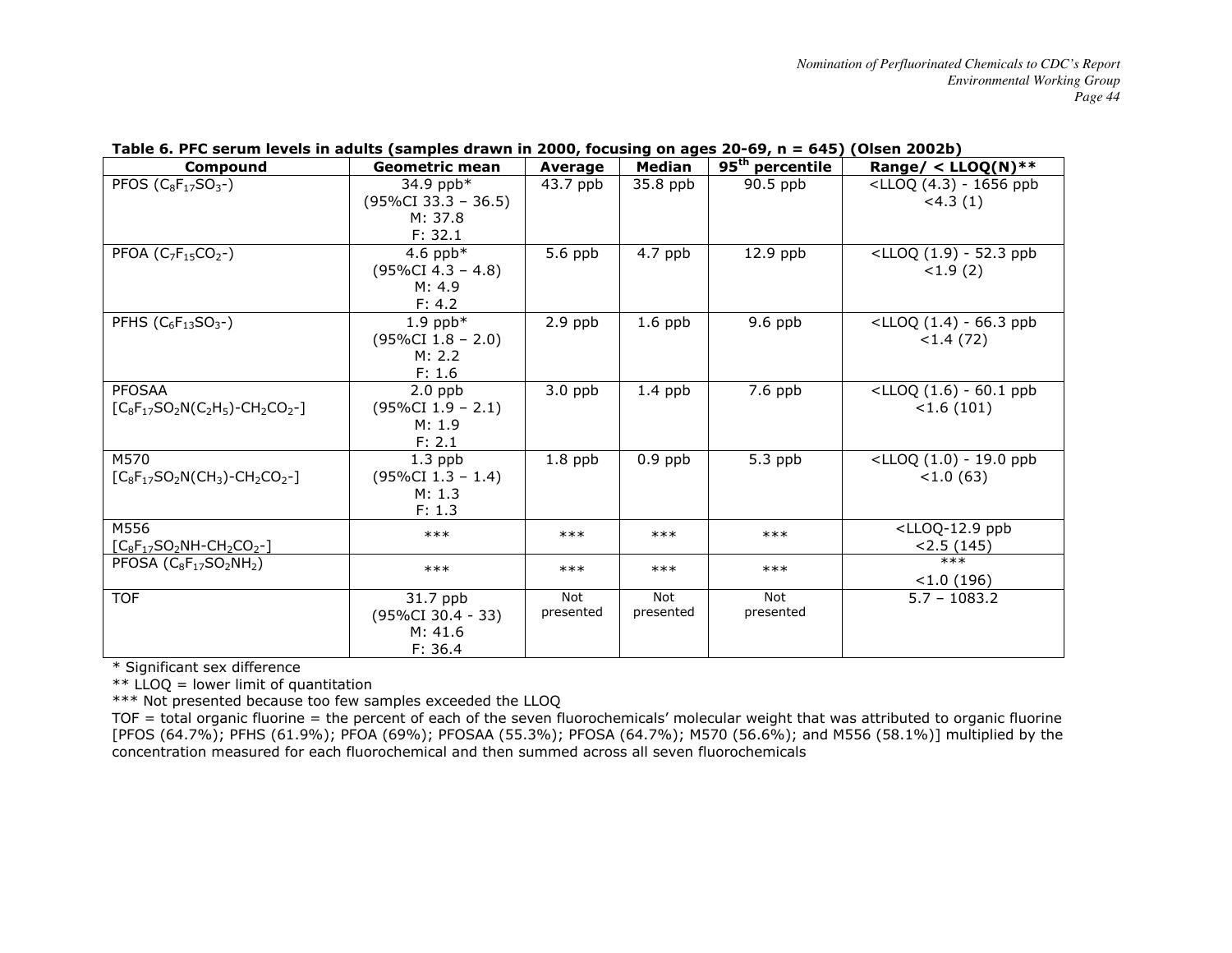| Compound                             | <b>Geometric mean</b>  | <b>Average</b> | <b>Median</b> | 95 <sup>th</sup> percentile | Range/ < $LLOQ(N)$ **                             |
|--------------------------------------|------------------------|----------------|---------------|-----------------------------|---------------------------------------------------|
| PFOS $(C_8F_{17}SO_3-)$              | 34.9 ppb*              | 43.7 ppb       | 35.8 ppb      | $90.5$ ppb                  | <lloq (4.3)="" -="" 1656="" ppb<="" td=""></lloq> |
|                                      | $(95\%CI 33.3 - 36.5)$ |                |               |                             | $<$ 4.3 $(1)$                                     |
|                                      | M: 37.8                |                |               |                             |                                                   |
|                                      | F: 32.1                |                |               |                             |                                                   |
| PFOA ( $C_7F_{15}CO_2$ -)            | 4.6 ppb $*$            | 5.6 ppb        | 4.7 ppb       | $12.9$ ppb                  | $\text{CLLOQ (1.9)} - 52.3 \text{ ppb}$           |
|                                      | $(95\%CI 4.3 - 4.8)$   |                |               |                             | <1.9(2)                                           |
|                                      | M: 4.9                 |                |               |                             |                                                   |
|                                      | F: 4.2                 |                |               |                             |                                                   |
| PFHS $(C_6F_{13}SO_3-)$              | $1.9$ ppb*             | $2.9$ ppb      | $1.6$ ppb     | 9.6 ppb                     | $\lt$ LLOQ (1.4) - 66.3 ppb                       |
|                                      | $(95\%CI 1.8 - 2.0)$   |                |               |                             | <1.4(72)                                          |
|                                      | M: 2.2                 |                |               |                             |                                                   |
|                                      | F: 1.6                 |                |               |                             |                                                   |
| <b>PFOSAA</b>                        | $2.0$ ppb              | $3.0$ ppb      | $1.4$ ppb     | 7.6 ppb                     | $\text{CLLOQ (1.6)} - 60.1 \text{ ppb}$           |
| $[C_8F_{17}SO_2N(C_2H_5)-CH_2CO_2-]$ | $(95\%CI 1.9 - 2.1)$   |                |               |                             | < 1.6(101)                                        |
|                                      | M: 1.9                 |                |               |                             |                                                   |
|                                      | F: 2.1                 |                |               |                             |                                                   |
| M570                                 | $1.3$ ppb              | $1.8$ ppb      | $0.9$ ppb     | 5.3 ppb                     | <lloq (1.0)="" -="" 19.0="" ppb<="" td=""></lloq> |
| $[C_8F_{17}SO_2N(CH_3)-CH_2CO_2-]$   | $(95\%CI 1.3 - 1.4)$   |                |               |                             | <1.0(63)                                          |
|                                      | M: 1.3                 |                |               |                             |                                                   |
|                                      | F: 1.3                 |                |               |                             |                                                   |
| M556                                 | $***$                  | $***$          | $***$         | $***$                       | <lloq-12.9 ppb<="" td=""></lloq-12.9>             |
| $[C_8F_{17}SO_2NH-CH_2CO_2-]$        |                        |                |               |                             | < 2.5(145)                                        |
| PFOSA $(C_8F_{17}SO_2NH_2)$          | $***$                  | $***$          | $***$         | $***$                       | $***$                                             |
|                                      |                        |                |               |                             | < 1.0(196)                                        |
| <b>TOF</b>                           | 31.7 ppb               | Not            | <b>Not</b>    | <b>Not</b>                  | $5.7 - 1083.2$                                    |
|                                      | $(95\%CI 30.4 - 33)$   | presented      | presented     | presented                   |                                                   |
|                                      | M: 41.6                |                |               |                             |                                                   |
|                                      | F: 36.4                |                |               |                             |                                                   |

## **Table 6. PFC serum levels in adults (samples drawn in 2000, focusing on ages 20-69, n = 645) (Olsen 2002b)**

\* Significant sex difference

 $**$  LLOQ = lower limit of quantitation

\*\*\* Not presented because too few samples exceeded the LLOQ

TOF = total organic fluorine = the percent of each of the seven fluorochemicals' molecular weight that was attributed to organic fluorine [PFOS (64.7%); PFHS (61.9%); PFOA (69%); PFOSAA (55.3%); PFOSA (64.7%); M570 (56.6%); and M556 (58.1%)] multiplied by the concentration measured for each fluorochemical and then summed across all seven fluorochemicals